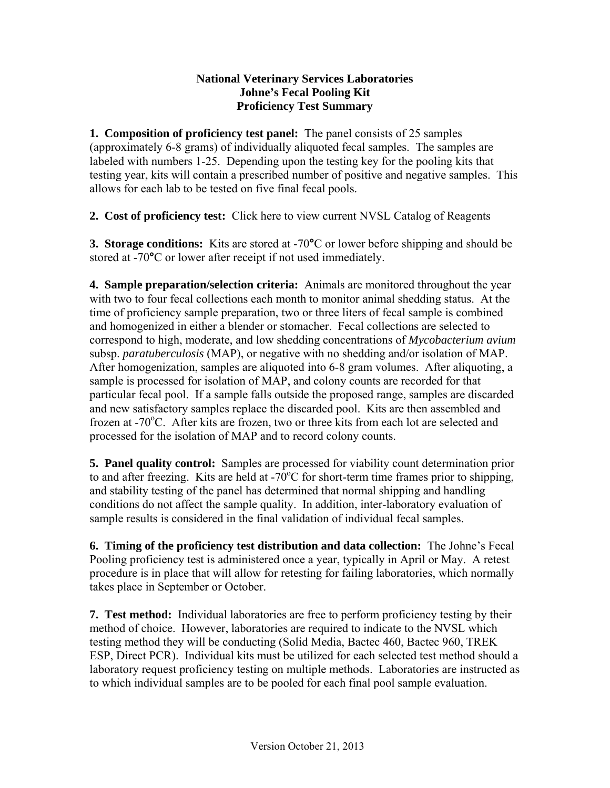## **National Veterinary Services Laboratories Johne's Fecal Pooling Kit Proficiency Test Summary**

**1. Composition of proficiency test panel:** The panel consists of 25 samples (approximately 6-8 grams) of individually aliquoted fecal samples. The samples are labeled with numbers 1-25. Depending upon the testing key for the pooling kits that testing year, kits will contain a prescribed number of positive and negative samples. This allows for each lab to be tested on five final fecal pools.

**2. Cost of proficiency test:** [Click here to view current NVSL Catalog of Reagents](http://www.aphis.usda.gov/animal_health/lab_info_services/reagents.shtml)

**3. Storage conditions:** Kits are stored at -70**°**C or lower before shipping and should be stored at -70**°**C or lower after receipt if not used immediately.

**4. Sample preparation/selection criteria:** Animals are monitored throughout the year with two to four fecal collections each month to monitor animal shedding status. At the time of proficiency sample preparation, two or three liters of fecal sample is combined and homogenized in either a blender or stomacher. Fecal collections are selected to correspond to high, moderate, and low shedding concentrations of *Mycobacterium avium* subsp. *paratuberculosis* (MAP), or negative with no shedding and/or isolation of MAP. After homogenization, samples are aliquoted into 6-8 gram volumes. After aliquoting, a sample is processed for isolation of MAP, and colony counts are recorded for that particular fecal pool. If a sample falls outside the proposed range, samples are discarded and new satisfactory samples replace the discarded pool. Kits are then assembled and frozen at -70°C. After kits are frozen, two or three kits from each lot are selected and processed for the isolation of MAP and to record colony counts.

**5. Panel quality control:** Samples are processed for viability count determination prior to and after freezing. Kits are held at -70 $\rm{^oC}$  for short-term time frames prior to shipping, and stability testing of the panel has determined that normal shipping and handling conditions do not affect the sample quality. In addition, inter-laboratory evaluation of sample results is considered in the final validation of individual fecal samples.

**6. Timing of the proficiency test distribution and data collection:** The Johne's Fecal Pooling proficiency test is administered once a year, typically in April or May. A retest procedure is in place that will allow for retesting for failing laboratories, which normally takes place in September or October.

**7. Test method:** Individual laboratories are free to perform proficiency testing by their method of choice. However, laboratories are required to indicate to the NVSL which testing method they will be conducting (Solid Media, Bactec 460, Bactec 960, TREK ESP, Direct PCR). Individual kits must be utilized for each selected test method should a laboratory request proficiency testing on multiple methods. Laboratories are instructed as to which individual samples are to be pooled for each final pool sample evaluation.